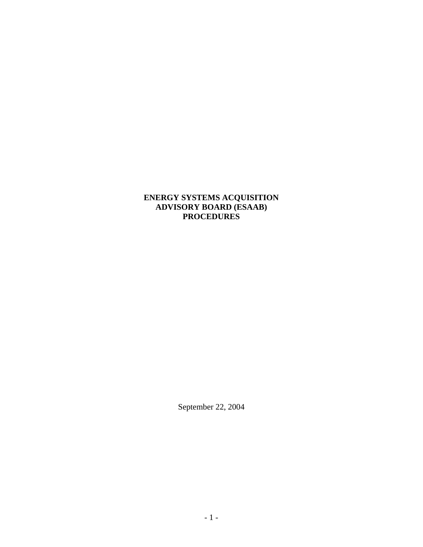#### **ENERGY SYSTEMS ACQUISITION ADVISORY BOARD (ESAAB) PROCEDURES**

September 22, 2004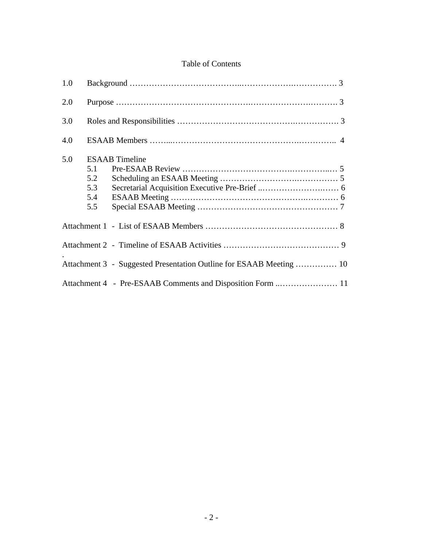# Table of Contents

| 1.0 |                                                                     |
|-----|---------------------------------------------------------------------|
| 2.0 |                                                                     |
| 3.0 |                                                                     |
| 4.0 |                                                                     |
| 5.0 | <b>ESAAB</b> Timeline<br>5.1<br>5.2<br>5.3<br>5.4<br>5.5            |
|     |                                                                     |
|     |                                                                     |
|     | Attachment 3 - Suggested Presentation Outline for ESAAB Meeting  10 |
|     | Attachment 4 - Pre-ESAAB Comments and Disposition Form  11          |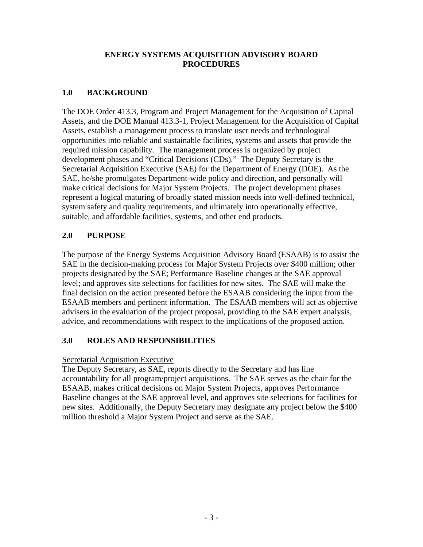#### **ENERGY SYSTEMS ACQUISITION ADVISORY BOARD PROCEDURES**

# **1.0 BACKGROUND**

The DOE Order 413.3, Program and Project Management for the Acquisition of Capital Assets, and the DOE Manual 413.3-1, Project Management for the Acquisition of Capital Assets, establish a management process to translate user needs and technological opportunities into reliable and sustainable facilities, systems and assets that provide the required mission capability. The management process is organized by project development phases and "Critical Decisions (CDs)." The Deputy Secretary is the Secretarial Acquisition Executive (SAE) for the Department of Energy (DOE). As the SAE, he/she promulgates Department-wide policy and direction, and personally will make critical decisions for Major System Projects. The project development phases represent a logical maturing of broadly stated mission needs into well-defined technical, system safety and quality requirements, and ultimately into operationally effective, suitable, and affordable facilities, systems, and other end products.

# **2.0 PURPOSE**

The purpose of the Energy Systems Acquisition Advisory Board (ESAAB) is to assist the SAE in the decision-making process for Major System Projects over \$400 million; other projects designated by the SAE; Performance Baseline changes at the SAE approval level; and approves site selections for facilities for new sites. The SAE will make the final decision on the action presented before the ESAAB considering the input from the ESAAB members and pertinent information. The ESAAB members will act as objective advisers in the evaluation of the project proposal, providing to the SAE expert analysis, advice, and recommendations with respect to the implications of the proposed action.

# **3.0 ROLES AND RESPONSIBILITIES**

#### Secretarial Acquisition Executive

The Deputy Secretary, as SAE, reports directly to the Secretary and has line accountability for all program/project acquisitions. The SAE serves as the chair for the ESAAB, makes critical decisions on Major System Projects, approves Performance Baseline changes at the SAE approval level, and approves site selections for facilities for new sites. Additionally, the Deputy Secretary may designate any project below the \$400 million threshold a Major System Project and serve as the SAE.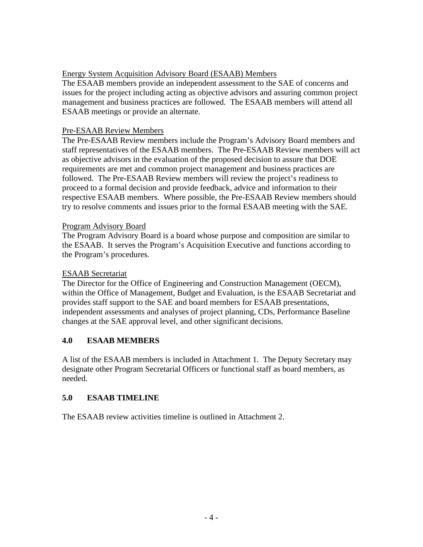#### Energy System Acquisition Advisory Board (ESAAB) Members

The ESAAB members provide an independent assessment to the SAE of concerns and issues for the project including acting as objective advisors and assuring common project management and business practices are followed. The ESAAB members will attend all ESAAB meetings or provide an alternate.

#### Pre-ESAAB Review Members

The Pre-ESAAB Review members include the Program's Advisory Board members and staff representatives of the ESAAB members. The Pre-ESAAB Review members will act as objective advisors in the evaluation of the proposed decision to assure that DOE requirements are met and common project management and business practices are followed. The Pre-ESAAB Review members will review the project's readiness to proceed to a formal decision and provide feedback, advice and information to their respective ESAAB members. Where possible, the Pre-ESAAB Review members should try to resolve comments and issues prior to the formal ESAAB meeting with the SAE.

#### Program Advisory Board

The Program Advisory Board is a board whose purpose and composition are similar to the ESAAB. It serves the Program's Acquisition Executive and functions according to the Program's procedures.

#### ESAAB Secretariat

The Director for the Office of Engineering and Construction Management (OECM), within the Office of Management, Budget and Evaluation, is the ESAAB Secretariat and provides staff support to the SAE and board members for ESAAB presentations, independent assessments and analyses of project planning, CDs, Performance Baseline changes at the SAE approval level, and other significant decisions.

#### **4.0 ESAAB MEMBERS**

A list of the ESAAB members is included in Attachment 1. The Deputy Secretary may designate other Program Secretarial Officers or functional staff as board members, as needed.

#### **5.0 ESAAB TIMELINE**

The ESAAB review activities timeline is outlined in Attachment 2.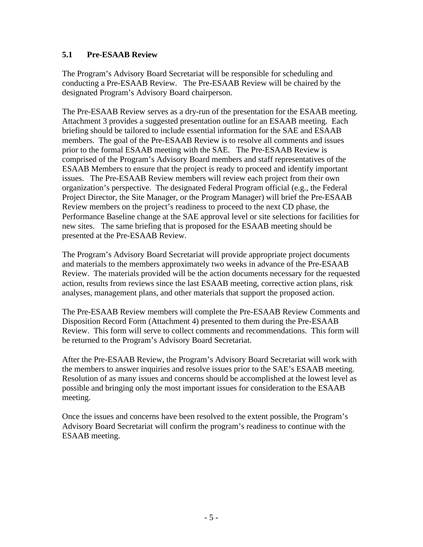#### **5.1 Pre-ESAAB Review**

The Program's Advisory Board Secretariat will be responsible for scheduling and conducting a Pre-ESAAB Review. The Pre-ESAAB Review will be chaired by the designated Program's Advisory Board chairperson.

The Pre-ESAAB Review serves as a dry-run of the presentation for the ESAAB meeting. Attachment 3 provides a suggested presentation outline for an ESAAB meeting. Each briefing should be tailored to include essential information for the SAE and ESAAB members. The goal of the Pre-ESAAB Review is to resolve all comments and issues prior to the formal ESAAB meeting with the SAE. The Pre-ESAAB Review is comprised of the Program's Advisory Board members and staff representatives of the ESAAB Members to ensure that the project is ready to proceed and identify important issues. The Pre-ESAAB Review members will review each project from their own organization's perspective. The designated Federal Program official (e.g., the Federal Project Director, the Site Manager, or the Program Manager) will brief the Pre-ESAAB Review members on the project's readiness to proceed to the next CD phase, the Performance Baseline change at the SAE approval level or site selections for facilities for new sites. The same briefing that is proposed for the ESAAB meeting should be presented at the Pre-ESAAB Review.

The Program's Advisory Board Secretariat will provide appropriate project documents and materials to the members approximately two weeks in advance of the Pre-ESAAB Review. The materials provided will be the action documents necessary for the requested action, results from reviews since the last ESAAB meeting, corrective action plans, risk analyses, management plans, and other materials that support the proposed action.

The Pre-ESAAB Review members will complete the Pre-ESAAB Review Comments and Disposition Record Form (Attachment 4) presented to them during the Pre-ESAAB Review. This form will serve to collect comments and recommendations. This form will be returned to the Program's Advisory Board Secretariat.

After the Pre-ESAAB Review, the Program's Advisory Board Secretariat will work with the members to answer inquiries and resolve issues prior to the SAE's ESAAB meeting. Resolution of as many issues and concerns should be accomplished at the lowest level as possible and bringing only the most important issues for consideration to the ESAAB meeting.

Once the issues and concerns have been resolved to the extent possible, the Program's Advisory Board Secretariat will confirm the program's readiness to continue with the ESAAB meeting.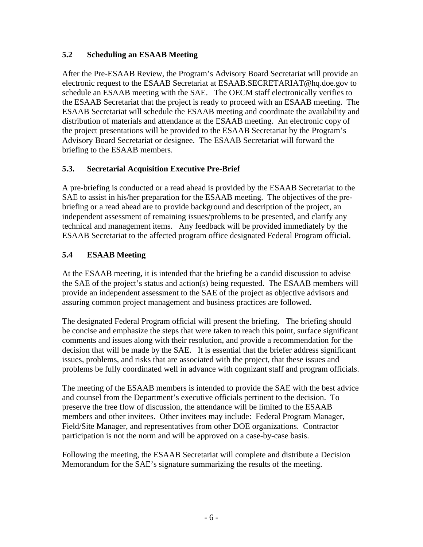# **5.2 Scheduling an ESAAB Meeting**

After the Pre-ESAAB Review, the Program's Advisory Board Secretariat will provide an electronic request to the ESAAB Secretariat at ESAAB.SECRETARIAT@hq.doe.gov to schedule an ESAAB meeting with the SAE. The OECM staff electronically verifies to the ESAAB Secretariat that the project is ready to proceed with an ESAAB meeting. The ESAAB Secretariat will schedule the ESAAB meeting and coordinate the availability and distribution of materials and attendance at the ESAAB meeting. An electronic copy of the project presentations will be provided to the ESAAB Secretariat by the Program's Advisory Board Secretariat or designee. The ESAAB Secretariat will forward the briefing to the ESAAB members.

#### **5.3. Secretarial Acquisition Executive Pre-Brief**

A pre-briefing is conducted or a read ahead is provided by the ESAAB Secretariat to the SAE to assist in his/her preparation for the ESAAB meeting. The objectives of the prebriefing or a read ahead are to provide background and description of the project, an independent assessment of remaining issues/problems to be presented, and clarify any technical and management items. Any feedback will be provided immediately by the ESAAB Secretariat to the affected program office designated Federal Program official.

# **5.4 ESAAB Meeting**

At the ESAAB meeting, it is intended that the briefing be a candid discussion to advise the SAE of the project's status and action(s) being requested. The ESAAB members will provide an independent assessment to the SAE of the project as objective advisors and assuring common project management and business practices are followed.

The designated Federal Program official will present the briefing. The briefing should be concise and emphasize the steps that were taken to reach this point, surface significant comments and issues along with their resolution, and provide a recommendation for the decision that will be made by the SAE. It is essential that the briefer address significant issues, problems, and risks that are associated with the project, that these issues and problems be fully coordinated well in advance with cognizant staff and program officials.

The meeting of the ESAAB members is intended to provide the SAE with the best advice and counsel from the Department's executive officials pertinent to the decision. To preserve the free flow of discussion, the attendance will be limited to the ESAAB members and other invitees. Other invitees may include: Federal Program Manager, Field/Site Manager, and representatives from other DOE organizations. Contractor participation is not the norm and will be approved on a case-by-case basis.

Following the meeting, the ESAAB Secretariat will complete and distribute a Decision Memorandum for the SAE's signature summarizing the results of the meeting.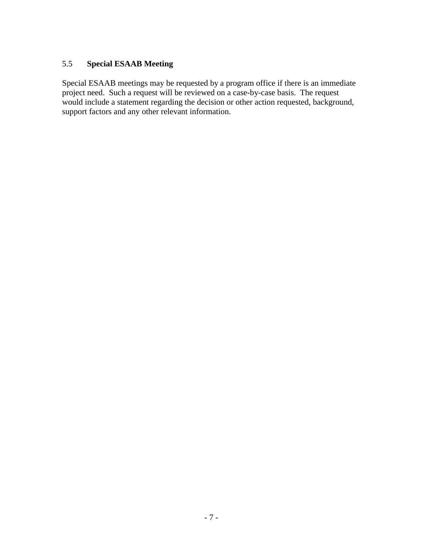# 5.5 **Special ESAAB Meeting**

Special ESAAB meetings may be requested by a program office if there is an immediate project need. Such a request will be reviewed on a case-by-case basis. The request would include a statement regarding the decision or other action requested, background, support factors and any other relevant information.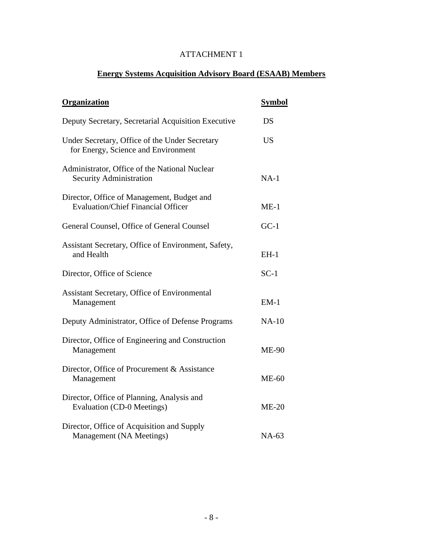# **Energy Systems Acquisition Advisory Board (ESAAB) Members**

| Organization                                                                            | <b>Symbol</b> |
|-----------------------------------------------------------------------------------------|---------------|
| Deputy Secretary, Secretarial Acquisition Executive                                     | DS            |
| Under Secretary, Office of the Under Secretary<br>for Energy, Science and Environment   | <b>US</b>     |
| Administrator, Office of the National Nuclear<br><b>Security Administration</b>         | $NA-1$        |
| Director, Office of Management, Budget and<br><b>Evaluation/Chief Financial Officer</b> | $ME-1$        |
| General Counsel, Office of General Counsel                                              | $GC-1$        |
| Assistant Secretary, Office of Environment, Safety,<br>and Health                       | $EH-1$        |
| Director, Office of Science                                                             | $SC-1$        |
| Assistant Secretary, Office of Environmental<br>Management                              | $EM-1$        |
| Deputy Administrator, Office of Defense Programs                                        | $NA-10$       |
| Director, Office of Engineering and Construction<br>Management                          | <b>ME-90</b>  |
| Director, Office of Procurement & Assistance<br>Management                              | $ME-60$       |
| Director, Office of Planning, Analysis and<br><b>Evaluation (CD-0 Meetings)</b>         | $ME-20$       |
| Director, Office of Acquisition and Supply<br>Management (NA Meetings)                  | NA-63         |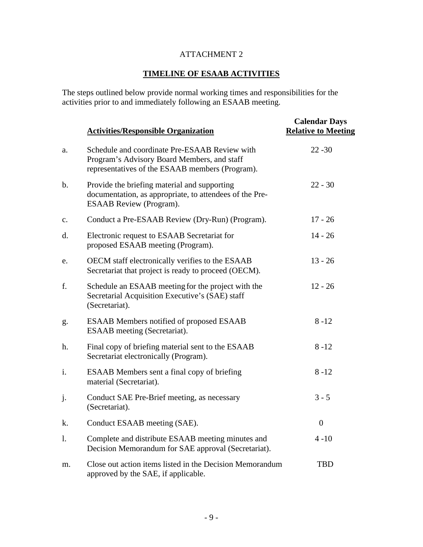# **TIMELINE OF ESAAB ACTIVITIES**

The steps outlined below provide normal working times and responsibilities for the activities prior to and immediately following an ESAAB meeting.

|                | <b>Activities/Responsible Organization</b>                                                                                                      | <b>Calendar Days</b><br><b>Relative to Meeting</b> |
|----------------|-------------------------------------------------------------------------------------------------------------------------------------------------|----------------------------------------------------|
| a.             | Schedule and coordinate Pre-ESAAB Review with<br>Program's Advisory Board Members, and staff<br>representatives of the ESAAB members (Program). | $22 - 30$                                          |
| $\mathbf b$ .  | Provide the briefing material and supporting<br>documentation, as appropriate, to attendees of the Pre-<br><b>ESAAB</b> Review (Program).       | $22 - 30$                                          |
| $\mathbf{c}$ . | Conduct a Pre-ESAAB Review (Dry-Run) (Program).                                                                                                 | $17 - 26$                                          |
| d.             | Electronic request to ESAAB Secretariat for<br>proposed ESAAB meeting (Program).                                                                | $14 - 26$                                          |
| e.             | OECM staff electronically verifies to the ESAAB<br>Secretariat that project is ready to proceed (OECM).                                         | $13 - 26$                                          |
| f.             | Schedule an ESAAB meeting for the project with the<br>Secretarial Acquisition Executive's (SAE) staff<br>(Secretariat).                         | $12 - 26$                                          |
| g.             | <b>ESAAB</b> Members notified of proposed ESAAB<br>ESAAB meeting (Secretariat).                                                                 | $8 - 12$                                           |
| h.             | Final copy of briefing material sent to the ESAAB<br>Secretariat electronically (Program).                                                      | $8 - 12$                                           |
| i.             | <b>ESAAB</b> Members sent a final copy of briefing<br>material (Secretariat).                                                                   | $8 - 12$                                           |
| j.             | Conduct SAE Pre-Brief meeting, as necessary<br>(Secretariat).                                                                                   | $3 - 5$                                            |
| k.             | Conduct ESAAB meeting (SAE).                                                                                                                    | $\overline{0}$                                     |
| 1.             | Complete and distribute ESAAB meeting minutes and<br>Decision Memorandum for SAE approval (Secretariat).                                        | $4 - 10$                                           |
| m.             | Close out action items listed in the Decision Memorandum<br>approved by the SAE, if applicable.                                                 | <b>TBD</b>                                         |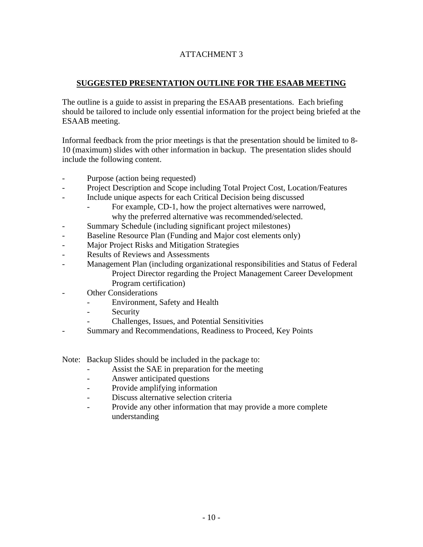#### **SUGGESTED PRESENTATION OUTLINE FOR THE ESAAB MEETING**

The outline is a guide to assist in preparing the ESAAB presentations. Each briefing should be tailored to include only essential information for the project being briefed at the ESAAB meeting.

Informal feedback from the prior meetings is that the presentation should be limited to 8- 10 (maximum) slides with other information in backup. The presentation slides should include the following content.

- Purpose (action being requested)
- Project Description and Scope including Total Project Cost, Location/Features
- Include unique aspects for each Critical Decision being discussed
	- For example, CD-1, how the project alternatives were narrowed, why the preferred alternative was recommended/selected.
- Summary Schedule (including significant project milestones)
- Baseline Resource Plan (Funding and Major cost elements only)
- Major Project Risks and Mitigation Strategies
- Results of Reviews and Assessments
- Management Plan (including organizational responsibilities and Status of Federal Project Director regarding the Project Management Career Development Program certification)
- **Other Considerations** 
	- Environment, Safety and Health
	- Security
	- Challenges, Issues, and Potential Sensitivities
- Summary and Recommendations, Readiness to Proceed, Key Points

Note: Backup Slides should be included in the package to:

- Assist the SAE in preparation for the meeting
- Answer anticipated questions
- Provide amplifying information
- Discuss alternative selection criteria
- Provide any other information that may provide a more complete understanding